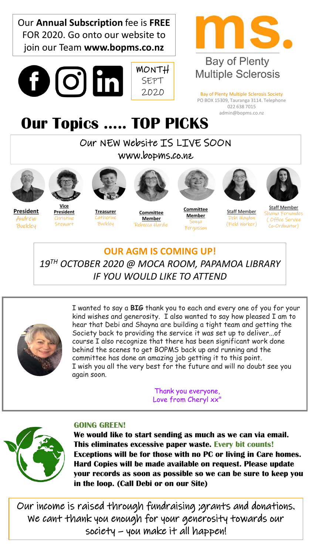

Thank you everyone, Love from Cheryl xx"



## **GOING GREEN!**

**We would like to start sending as much as we can via email. This eliminates excessive paper waste. Every bit counts! Exceptions will be for those with no PC or living in Care homes. Hard Copies will be made available on request. Please update your records as soon as possible so we can be sure to keep you in the loop. (Call Debi or on our Site)** 

Our income is raised through fundraising ;grants and donations. We cant thank you enough for your generosity towards our society – you make it all happen!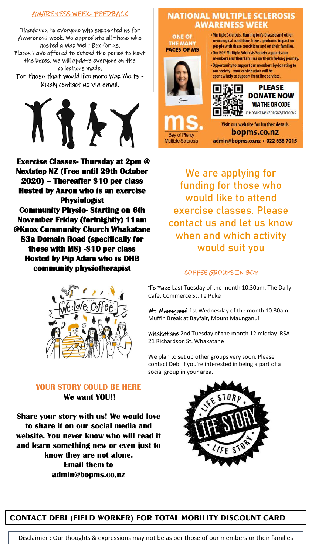#### AWARENESS WEEK- FEEDBACK

Thank you to everyone who supported us for Awareness week. We appreciate all those who hosted a Wax Melt Box for us. Places have offered to extend the period to host the boxes. We will update everyone on the collections made. For those that would like more Wax Melts - Kindly contact us via email.

**Exercise Classes- Thursday at 2pm @ Nextstep NZ (Free until 29th October 2020) – Thereafter \$10 per class Hosted by Aaron who is an exercise Physiologist Community Physio- Starting on 6th November Friday (fortnightly) 11am @Knox Community Church Whakatane 83a Domain Road (specifically for those with MS) -\$10 per class Hosted by Pip Adam who is DHB community physiotherapist**



# **NATIONAL MULTIPLE SCLEROSIS AWARENESS WEEK**

**ONE OF** THE MAN **FACES OF MS** 



- Multiple Sclerosis, Huntington's Disease and other neurological conditions have a profound impact on people with these conditions and on their families. - Our BOP Multiple Sclerosis Society supports our

members and their families on their life-long journey. • Opportunity to support our members by donating to

our society - your contribution will be<br>spent wisely to support front line services.



**PLEASE DONATE NOW VIA THE QR CODE** FUNDRAISE.MSNZ.ORG.NZ/FACEOFMS

**Bay of Plenty Multiple Sclerosis** 

**Visit our website for further details** bopms.co.nz admin@bopms.co.nz · 022 638 7015

We are applying for funding for those who would like to attend exercise classes. Please contact us and let us know when and which activity would suit you

#### COFFEE GROUPS IN BOP

Te Puke Last Tuesday of the month 10.30am. The Daily Cafe, Commerce St. Te Puke

Mt Maunganui 1st Wednesday of the month 10.30am. Muffin Break at Bayfair, Mount Maunganui

Whakatane 2nd Tuesday of the month 12 midday. RSA 21 Richardson St. Whakatane

We plan to set up other groups very soon. Please contact Debi if you're interested in being a part of a social group in your area.

### **YOUR STORY COULD BE HERE We want YOU!!**

**Share your story with us! We would love to share it on our social media and website. You never know who will read it and learn something new or even just to know they are not alone. Email them to admin@bopms.co,nz**



**CONTACT DEBI (FIELD WORKER) FOR TOTAL MOBILITY DISCOUNT CARD**

Disclaimer : Our thoughts & expressions may not be as per those of our members or their families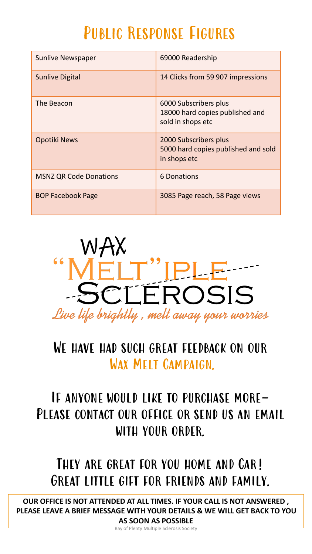# Public Response Figures

| <b>Sunlive Newspaper</b>      | 69000 Readership                                                              |
|-------------------------------|-------------------------------------------------------------------------------|
| <b>Sunlive Digital</b>        | 14 Clicks from 59 907 impressions                                             |
| The Beacon                    | 6000 Subscribers plus<br>18000 hard copies published and<br>sold in shops etc |
| Opotiki News                  | 2000 Subscribers plus<br>5000 hard copies published and sold<br>in shops etc  |
| <b>MSNZ QR Code Donations</b> | 6 Donations                                                                   |
| <b>BOP Facebook Page</b>      | 3085 Page reach, 58 Page views                                                |



# WE HAVE HAD SUCH GREAT FEEDBACK ON OUR Wax Melt Campaign.

# If anyone would like to purchase more-PLEASE CONTACT OUR OFFICE OR SEND US AN EMAIL with your order.

# THEY ARE GREAT FOR YOU HOME AND CAR! Great little gift for friends and family.

**OUR OFFICE IS NOT ATTENDED AT ALL TIMES. IF YOUR CALL IS NOT ANSWERED , PLEASE LEAVE A BRIEF MESSAGE WITH YOUR DETAILS & WE WILL GET BACK TO YOU AS SOON AS POSSIBLE**